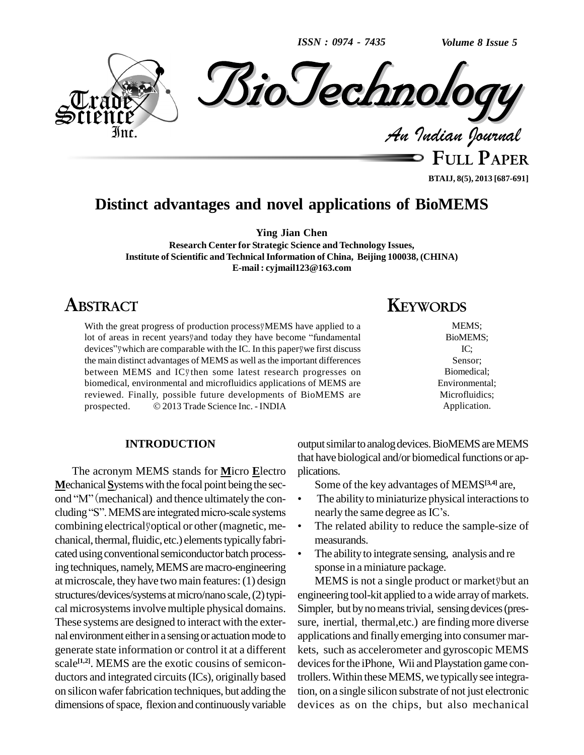*ISSN : 0974 - 7435*

*Volume 8 Issue 5*



**FULL PAPER**

**BTAIJ, 8(5), 2013 [687-691]**

# **Distinct advantages and novel applications of BioMEMS**

**Ying Jian Chen**

**Research Center for Strategic Science and Technology Issues, Institute of Scientific andTechnicalInformation of China, Beijing 100038, (CHINA) E-mail : [cyjmail123@163.com](mailto:cyjmail123@163.com)**

# **ABSTRACT**

With the great progress of production processÿMEMS have applied to a With the great progress of production processÿMEMS have applied to a<br>lot of areas in recent yearsÿand today they have become "fundamental lot of areas in recent yearsy and today they have become "fundamental devices" y which are comparable with the IC. In this paper y we first discuss the main distinct advantages of MEMS as well asthe important differences between MEMS and ICÿthen some latest research progresses on biomedical, environmental and microfluidics applications of MEMS are<br>reviewed. Finally, possible future developments of BioMEMS are<br>prospected. © 2013 Trade Science Inc. - INDIA reviewed. Finally, possible future developments of BioMEMS are

## **INTRODUCTION**

The acronym MEMS stands for **M**icro **E**lectro **Mechanical Systems with the focal point being the sec-**The acronym MEMS stands for <u>Micro E</u>lectro plic<br>
<u>M</u>echanical Systems with the focal point being the second "M" (mechanical) and thence ultimately the con-Mechanical Systems with the focal point being the second "M" (mechanical) and thence ultimately the concluding "S". MEMS are integrated micro-scale systems combining electrical yoptical or other (magnetic, mechanical, thermal, fluidic, etc.) elements typically fabricated using conventional semiconductor batch processing techniques, namely, MEMS are macro-engineering at microscale, they have two main features:(1) design structures/devices/systems at micro/nano scale, (2) typical microsystemsinvolvemultiple physical domains. These systems are designed to interact with the exter nal environment either in a sensing or actuation mode to generate state information or control it at a different scale<sup>[1,2]</sup>. MEMS are the exotic cousins of semicon- dev ductors and integrated circuits(ICs), originally based on siliconwaferfabrication techniques, but adding the dimensions of space, flexion and continuously variable

# **KEYWORDS**

MEMS; BioMEMS; IC; Sensor; Biomedical; Environmental; Microfluidics; Application.

output similar to analog devices. BioMEMS are MEMS that have biological and/or biomedical functions or applications. plications.<br>Some of the key advantages of MEMS<sup>[3,4]</sup> are,

- The ability to miniaturize physical interactions to Some of the key advantages of MEI<br>The ability to miniaturize physical is<br>nearly the same degree as IC's.
- The related ability to reduce the sample-size of measurands. <sup>ï</sup>
- $\bullet$ The ability to integrate sensing, analysis and re sponse in aminiature package.

MEMS is not a single product or markety but an engineering tool-kit applied to awide arrayofmarkets. Simpler, but by no means trivial, sensing devices (pressure, inertial, thermal, etc.) are finding more diverse applications and finallyemerging into consumer mar kets, such as accelerometer and gyroscopic MEMS devices for the iPhone, Wii and Playstation game controllers. Within these MEMS, we typically see integration, on a single silicon substrate of not just electronic devices as on the chips, but also mechanical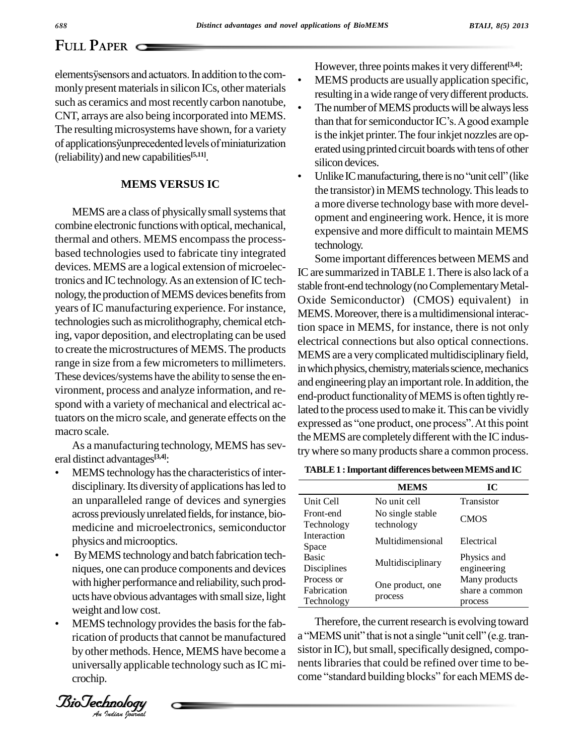# **FULL PAPER**

elements y sensors and actuators. In addition to the commonly present materials in silicon ICs, other materials such as ceramics and most recently carbon nanotube, CNT, arrays are also being incorporated into MEMS. The resulting microsystems have shown, for a variety  $\frac{d}{dt}$ CNT, arrays are also being incorporated into MEMS.<br>The resulting microsystems have shown, for a variety is the state of applications junprecedented levels of miniaturization (reliability) and newcapabilities **[5,11]**.

## **MEMS VERSUS IC**

MEMS are a class of physically small systems that combine electronic functions with optical, mechanical, thermal and others. MEMS encompass the processbased technologies used to fabricate tiny integrated devices. MEMS are a logical extension of microelectronics and IC technology. As an extension of IC technology, the production of MEMS devices benefits from years of IC manufacturing experience. For instance, technologies such as microlithography, chemical etching, vapor deposition, and electroplating can be used to create the microstructures of MEMS.The products range in size from a few micrometers to millimeters. These devices/systems have the ability to sense the environment, process and analyze information, and re-spond with <sup>a</sup> variety of mechanical and electrical actuators on the micro scale, and generate effects on the<br>expressed as "one product, one process". At this point macro scale.

As a manufacturing technology, MEMS has several distinct advantages<sup>[3,4]</sup>: eral distinct advantages<sup>[3,4]</sup>:

- MEMS technology has the characteristics of interdisciplinary.Its diversityof applications hasled to an unparalleled range of devices and synergies across previously unrelated fields, for instance, biomedicine and microelectronics, semiconductor<br>physics and microoptics.
- ucts have obvious advantages with small size, light  $\frac{F}{T}$  weight and low cost. ByMEMS technologyand batch fabrication tech niques, one can produce components and devices with higher performance and reliability, such prod-
- rication of products that cannot be manufactured a "MEI MEMS technology provides the basis for the fabby other methods. Hence, MEMS have become a universally applicable technology such as IC microchip.

However, three points makes it very different<sup>[3,4]</sup>:

- MEMS products are usually application specific, resulting in a wide range of very different products.
- The number of MEMS products will be always less than that for semiconductor  $IC$ 's. A good example is the inkjet printer. The four inkjet nozzles are operated using printed circuit boards with tens of other<br>silicon devices.<br>Unlike IC manufacturing, there is no "unit cell" (like
- the transistor) in MEMS technology. This leads to a more diverse technology base with more development and engineering work. Hence, it is more expensive and more difficult to maintain MEMS technology.

Some important differences between MEMS and IC are summarized in TABLE 1. There is also lack of a stable front-end technology (no Complementary Metal-Oxide Semiconductor) (CMOS) equivalent) in MEMS. Moreover, there is a multidimensional interaction space in MEMS, for instance, there is not only electrical connections but also optical connections. MEMS are a very complicated multidisciplinary field, in which physics, chemistry, materials science, mechanics and engineering play an important role. In addition, the end-product functionality of MEMS is often tightly related to the process used tomake it.This can be vividly end-product functionality of MEMS is often tightly re-<br>lated to the process used to make it. This can be vividly<br>expressed as "one product, one process". At this point the MEMS are completely different with the IC industry where so many products share a common process.

|                                         | <b>MEMS</b>                    | IC                                         |
|-----------------------------------------|--------------------------------|--------------------------------------------|
| Unit Cell                               | No unit cell                   | Transistor                                 |
| Front-end<br>Technology                 | No single stable<br>technology | <b>CMOS</b>                                |
| Interaction<br>Space                    | Multidimensional               | Electrical                                 |
| Basic<br>Disciplines                    | Multidisciplinary              | Physics and<br>engineering                 |
| Process or<br>Fabrication<br>Technology | One product, one<br>process    | Many products<br>share a common<br>process |

Therefore, the current research is evolving toward a "MEMS unit" that is not a single "unit cell" (e.g. transistor in IC), but small, specifically designed, components libraries that could be refined over time to become "standard building blocks" for each MEMS de-

*Indian Journal*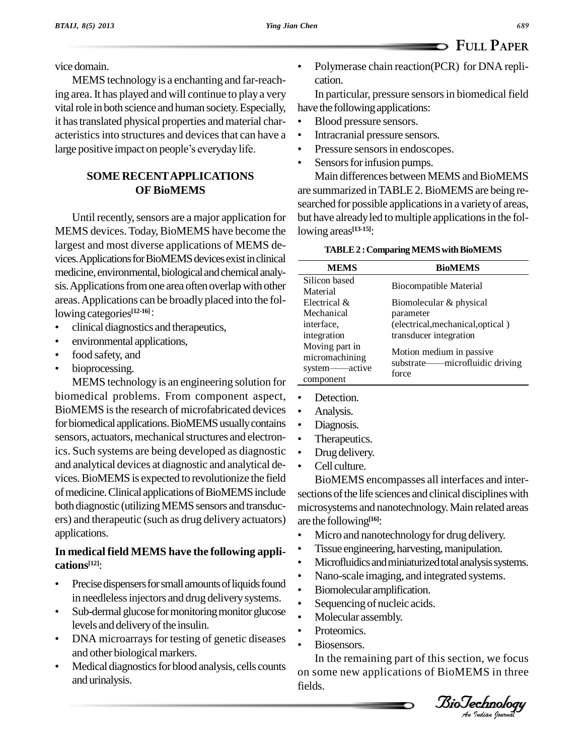vice domain.

MEMS technology is a enchanting and far-reaching area.It has played and will continue to playa very vital role in both science and human society. Especially, it has translated physical properties and material characteristics into structures and devices that can have a  $\bullet$  In it has translated physical properties and material cha<br>acteristics into structures and devices that can have<br>large positive impact on people's everyday life.

# **SOME RECENTAPPLICATIONS OF BioMEMS**

Until recently, sensors are a major application for MEMS devices. Today, BioMEMS have become the largest and most diverse applications of MEMS de vices. Applications for BioMEMS devices exist in clinical medicine, environmental, biological and chemical analysis. Applications from one area often overlap with other areas.Applications can be broadly placed into the fol-ïlowing categories **[12-16]**: lowing categories<sup>[12-16]</sup>:<br>• clinical diagnostics and therapeutics,

- clinical diagnostics and therapeu<br>• environmental applications,
- ï
- food safety, and
- bioprocessing.

MEMS technology is an engineering solution for biomedical problems. From component aspect, • BioMEMS is the research of microfabricated devices • Analysis. for biomedical applications. BioMEMS usually contains  $\bullet$ sensors, actuators, mechanical structures and electronics. Such systems are being developed as diagnostic and analytical devices at diagnostic and analytical de vices.BioMEMS is expected to revolutionize the field of medicine. Clinical applications of BioMEMS include both diagnostic (utilizing MEMS sensors and transducers) and therapeutic (such as drug delivery actuators) applications.

# **In medical field MEMS have the following appli-** In mealcal field<br>cations<sup>[12]</sup>:

- Precise dispensers for small amounts of liquids found<br>Biomolecular amplification. in needleless injectors and drug delivery systems.
- Sub-dermal glucose for monitoring monitor glucose<br>levels and delivery of the insulin.
- DNA microarrays for testing of genetic diseases <br>and other biological markers.
- Medical diagnostics for blood analysis, cells counts andurinalysis.

 Polymerase chain reaction(PCR) for DNA repli-  $\bullet$ cation.

In particular, pressure sensorsin biomedical field have thefollowingapplications: <sup>ï</sup>have the following applications:<br>• Blood pressure sensors.

- 
- Intracranial pressure sensors.
- Pressure sensors in endoscopes.
- Sensors for infusion pumps.

Main differences between MEMS and BioMEMS are summarized inTABLE2.BioMEMS are being re-searched for possible applicationsin <sup>a</sup> varietyof areas, but have already led to multiple applications in the following areas **[13-15]**:

| TABLE 2 : Comparing MEMS with BioMEMS |  |
|---------------------------------------|--|
|---------------------------------------|--|

| <b>MEMS</b>                   | <b>BioMEMS</b>                                                      |  |
|-------------------------------|---------------------------------------------------------------------|--|
| Silicon based                 | <b>Biocompatible Material</b><br>Biomolecular & physical            |  |
| Material<br>Electrical &      |                                                                     |  |
| Mechanical                    | parameter                                                           |  |
| interface,                    | (electrical, mechanical, optical)                                   |  |
| integration<br>Moving part in | transducer integration                                              |  |
| micromachining                | Motion medium in passive<br>substrate-microfluidic driving<br>force |  |
| system——active                |                                                                     |  |
| component                     |                                                                     |  |

- component<br>• Detection.
- Detection.<br>• Analysis.
- Diagnosis.
- Therapeutics.
- Drug delivery.
- Cell culture.

BioMEMS encompasses all interfaces and inter sections of the life sciences and clinical disciplines with microsystems and nanotechnology. Main related areas are the following<sup>[16]</sup>: are the following<sup>[16]</sup>: are the following<sup>[16]</sup>:<br>• Micro and nanotechnology for drug delivery.

- 
- Micro and nanotechnology for drug delivery.<br>• Tissue engineering, harvesting, manipulation.
- Microfluidics and miniaturized total analysis systems.<br>Superstitution of miniaturized total analysis systems.
- Microfluidics and miniaturized total analysis systems.<br>• Nano-scale imaging, and integrated systems. Nano-scale imaging, and integrated systems.
- 
- Biomolecular amplification.<br>• Sequencing of nucleic acids. • Sequencing of nucleic aci-<br>• Molecular assembly.
- Molecular assembly.<br>• Proteomics.
- 
- Biosensors.

In the remaining part of this section, we focus on some new applications of BioMEMS in three fields.

*Indian Journal*

**FULL PAPER**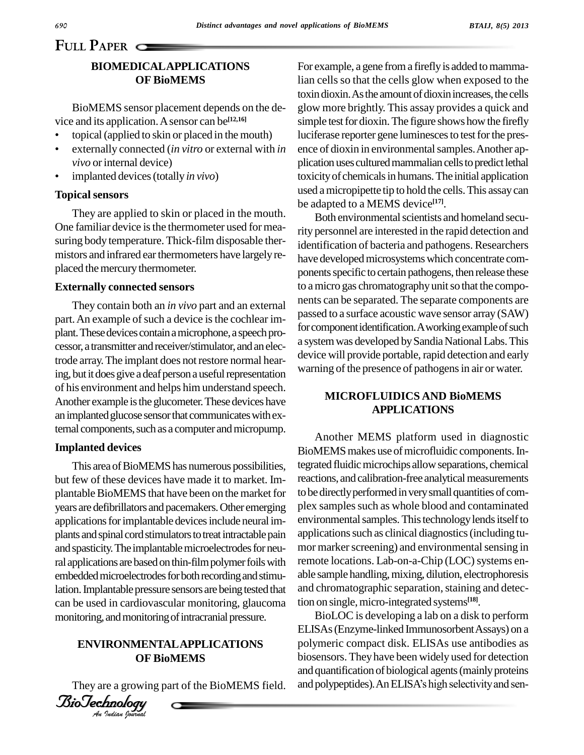# **FULL PAPER**

## **BIOMEDICALAPPLICATIONS OF BioMEMS**

BioMEMS sensor placement depends on the de-<br>vice and its application. A sensor can be<sup>[12,16]</sup> sim vice and its application. A sensor can be<sup>[12,16]</sup>

- topical (applied to skin or placed in the mouth)
- externally connected (*in vitro* or external with *in* ence of *vivo* or internal device) plicatio
- implanted devices(totally*in vivo*)

#### **Topicalsensors**

They are applied to skin or placed in the mouth. One familiar device is the thermometer used for measuring body temperature.Thick-film disposable ther mistors and infrared earthermometers have largelyre placed the mercury thermometer.

#### **Externally connected sensors**

They contain both an *in vivo* part and an external part. An example of such a device is the cochlear implant. These devices contain a microphone, a speech processor, a transmitter and receiver/stimulator, and an electrode array.The implant does notrestore normal hearing, but it does give a deaf person a useful representation of his environment and helps himunderstand speech. Another example is the glucometer. These devices have an implanted glucose sensor that communicates with external components, such as a computer and micropump.

#### **Implanted devices**

lation. Implantable pressure sensors are being tested that and cl<br>can be used in cardiovascular monitoring, glaucoma tion of This area of BioMEMS has numerous possibilities, but few of these devices have made it to market. Im plantable BioMEMS that have been on the market for years are defibrillators and pacemakers. Other emerging applications for implantable devices include neural imand spasticity. The implantable microelectrodes for neural applications are based on thin-film polymer foils with embedded microelectrodes for both recording and stimulation. Implantable pressure sensors are being tested that monitoring, and monitoring of intracranial pressure.

## **ENVIRONMENTALAPPLICATIONS OF BioMEMS**

They are a growing part of the BioMEMS field.



For example, a gene from a firefly is added to mammalian cells so that the cells glow when exposed to the toxin dioxin. As the amount of dioxin increases, the cells glow more brightly. This assay provides a quick and simple test for dioxin. The figure shows how the firefly luciferase reporter gene luminesces to test for the presence of dioxin in environmental samples. Another application uses cultured mammalian cells to predict lethal toxicity of chemicals in humans. The initial application used amicropipette tip to hold the cells.This assaycan be adapted to a MEMS device **[17]**.

Both environmental scientists and homeland security personnel are interested in the rapid detection and identification of bacteria and pathogens. Researchers have developed microsystems which concentrate components specific to certain pathogens, then release these to a micro gas chromatography unit so that the components can be separated. The separate components are passed to a surface acoustic wave sensor array (SAW) for component identification. A working example of such a systemwas developed bySandiaNationalLabs.This device will provide portable, rapid detection and early warning of the presence of pathogens in air or water.

## **MICROFLUIDICS AND BioMEMS APPLICATIONS**

plants and spinal cord stimulators to treat intractable pain applications such as clinical diagnostics (including tu-Another MEMS platform used in diagnostic BioMEMS makes use of microfluidic components. Integrated fluidic microchips allow separations, chemical reactions, and calibration-free analytical measurements to be directly performed in very small quantities of complex samples such as whole blood and contaminated environmental samples. This technology lends itself to mor marker screening) and environmental sensing in remote locations. Lab-on-a-Chip (LOC) systems enable sample handling, mixing, dilution, electrophoresis and chromatographic separation, staining and detection on single,micro-integrated systems **[18]**.

> BioLOC is developing a lab on a disk to perform ELISAs(Enzyme-linked ImmunosorbentAssays) on a polymeric compact disk. ELISAs use antibodies as biosensors. Theyhave been widely used for detection and quantification of biological agents (mainly proteins and polypeptides). An ELISA's high selectivity and sen